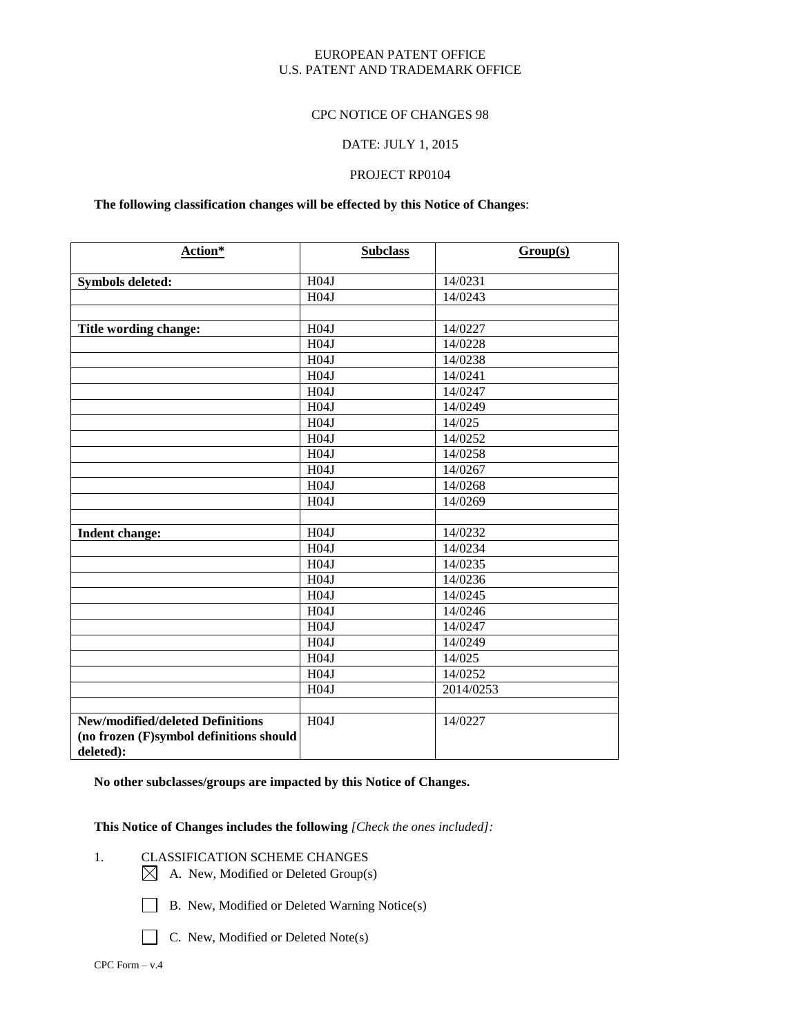### EUROPEAN PATENT OFFICE U.S. PATENT AND TRADEMARK OFFICE

#### CPC NOTICE OF CHANGES 98

#### DATE: JULY 1, 2015

## PROJECT RP0104

## **The following classification changes will be effected by this Notice of Changes**:

| Action*                                 | <b>Subclass</b>  | Group(s)  |
|-----------------------------------------|------------------|-----------|
| <b>Symbols deleted:</b>                 | H04J             | 14/0231   |
|                                         | H04J             | 14/0243   |
|                                         |                  |           |
| Title wording change:                   | H04J             | 14/0227   |
|                                         | H04J             | 14/0228   |
|                                         | H04J             | 14/0238   |
|                                         | H04J             | 14/0241   |
|                                         | H04J             | 14/0247   |
|                                         | H04J             | 14/0249   |
|                                         | H04J             | 14/025    |
|                                         | H04J             | 14/0252   |
|                                         | H04J             | 14/0258   |
|                                         | H04J             | 14/0267   |
|                                         | H04J             | 14/0268   |
|                                         | H04J             | 14/0269   |
|                                         |                  |           |
| <b>Indent change:</b>                   | H04J             | 14/0232   |
|                                         | H <sub>04J</sub> | 14/0234   |
|                                         | H04J             | 14/0235   |
|                                         | H04J             | 14/0236   |
|                                         | H04J             | 14/0245   |
|                                         | H04J             | 14/0246   |
|                                         | H04J             | 14/0247   |
|                                         | H04J             | 14/0249   |
|                                         | H04J             | 14/025    |
|                                         | H04J             | 14/0252   |
|                                         | H04J             | 2014/0253 |
|                                         |                  |           |
| <b>New/modified/deleted Definitions</b> | H04J             | 14/0227   |
| (no frozen (F)symbol definitions should |                  |           |
| deleted):                               |                  |           |

**No other subclasses/groups are impacted by this Notice of Changes.**

**This Notice of Changes includes the following** *[Check the ones included]:*

- 1. CLASSIFICATION SCHEME CHANGES
	- $\boxtimes$  A. New, Modified or Deleted Group(s)
	- B. New, Modified or Deleted Warning Notice(s)
	-
	- C. New, Modified or Deleted Note(s)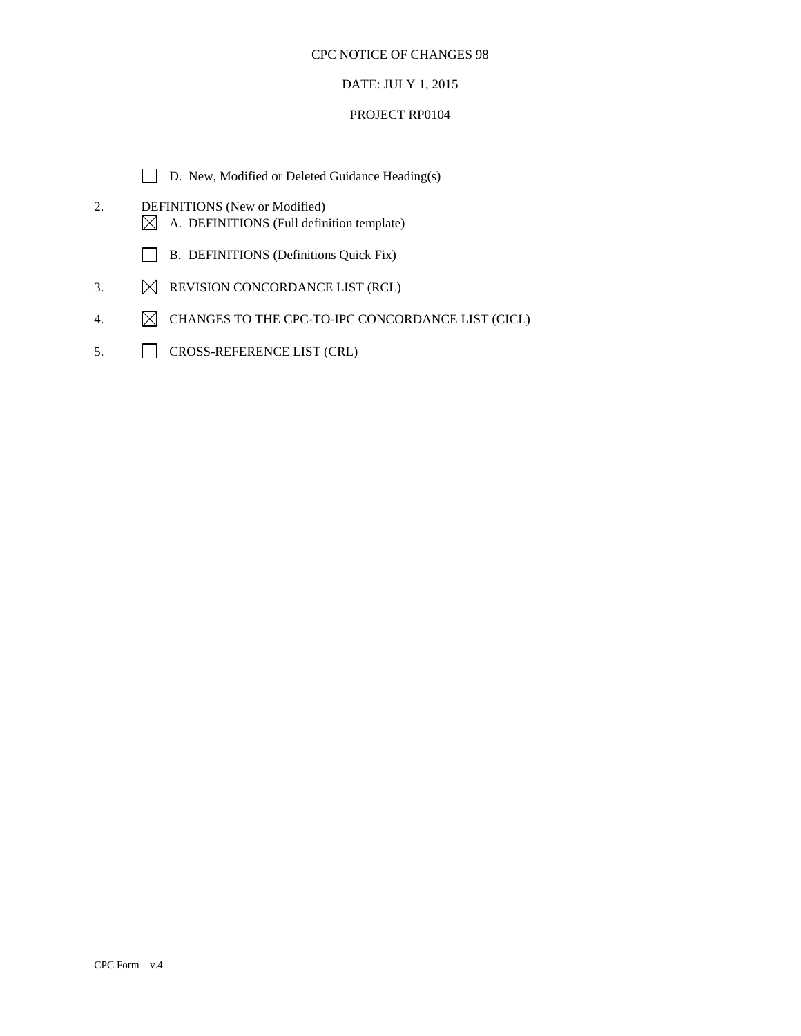## DATE: JULY 1, 2015

#### PROJECT RP0104

- D. New, Modified or Deleted Guidance Heading(s)
- 2. DEFINITIONS (New or Modified)  $\boxtimes$  A. DEFINITIONS (Full definition template)
	- B. DEFINITIONS (Definitions Quick Fix)
- 3.  $\boxtimes$  REVISION CONCORDANCE LIST (RCL)
- 4.  $\boxtimes$  CHANGES TO THE CPC-TO-IPC CONCORDANCE LIST (CICL)
- 5. CROSS-REFERENCE LIST (CRL)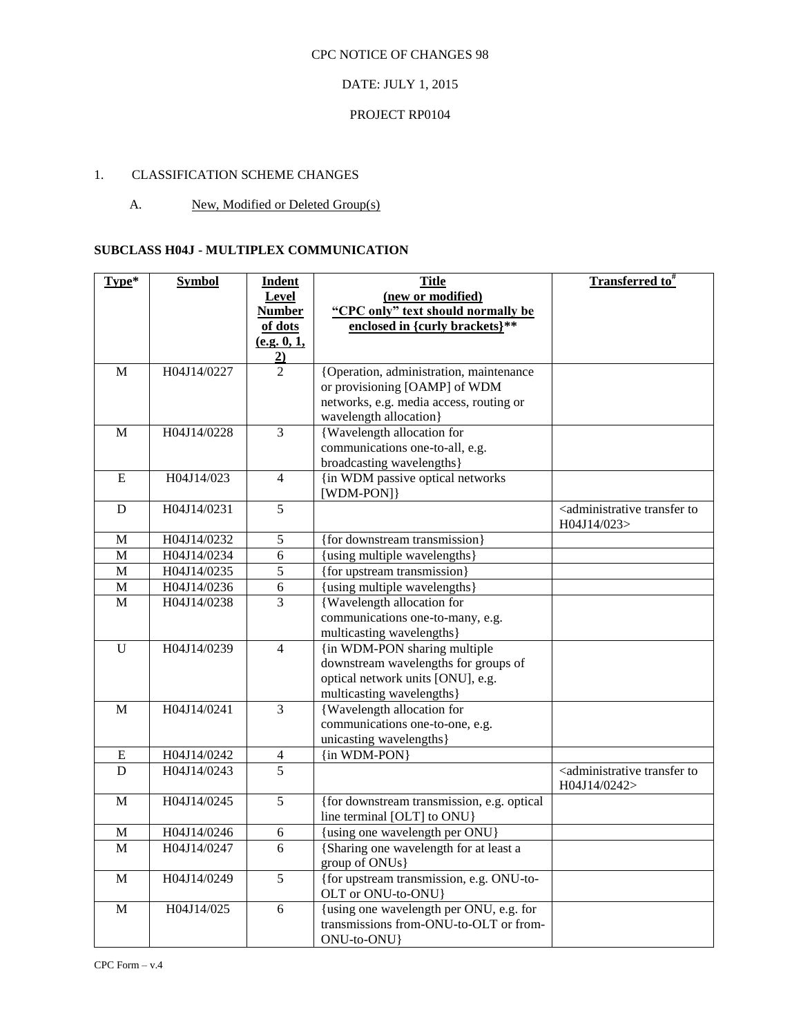## DATE: JULY 1, 2015

## PROJECT RP0104

## 1. CLASSIFICATION SCHEME CHANGES

## A. New, Modified or Deleted Group(s)

### **SUBCLASS H04J - MULTIPLEX COMMUNICATION**

| Type*          | <b>Symbol</b> | <b>Indent</b>  | <b>Title</b>                                                                                     | Transferred to <sup>#</sup>                                          |
|----------------|---------------|----------------|--------------------------------------------------------------------------------------------------|----------------------------------------------------------------------|
|                |               | <b>Level</b>   | (new or modified)                                                                                |                                                                      |
|                |               | <b>Number</b>  | "CPC only" text should normally be                                                               |                                                                      |
|                |               | of dots        | enclosed in {curly brackets}**                                                                   |                                                                      |
|                |               | (e.g. 0, 1,    |                                                                                                  |                                                                      |
|                |               | $\overline{2}$ |                                                                                                  |                                                                      |
| $\mathbf M$    | H04J14/0227   | 2              | {Operation, administration, maintenance                                                          |                                                                      |
|                |               |                | or provisioning [OAMP] of WDM                                                                    |                                                                      |
|                |               |                | networks, e.g. media access, routing or                                                          |                                                                      |
|                |               |                | wavelength allocation}                                                                           |                                                                      |
| M              | H04J14/0228   | 3              | {Wavelength allocation for                                                                       |                                                                      |
|                |               |                | communications one-to-all, e.g.                                                                  |                                                                      |
|                |               |                | broadcasting wavelengths}                                                                        |                                                                      |
| ${\bf E}$      | H04J14/023    | $\overline{4}$ | {in WDM passive optical networks                                                                 |                                                                      |
|                |               |                | [WDM-PON]}                                                                                       |                                                                      |
| D              | H04J14/0231   | 5              |                                                                                                  | <administrative to<br="" transfer="">H04J14/023&gt;</administrative> |
| M              | H04J14/0232   | 5              | {for downstream transmission}                                                                    |                                                                      |
| $\overline{M}$ | H04J14/0234   | $\sqrt{6}$     | {using multiple wavelengths}                                                                     |                                                                      |
| M              | H04J14/0235   | $\overline{5}$ | {for upstream transmission}                                                                      |                                                                      |
| $\overline{M}$ | H04J14/0236   | $\overline{6}$ | {using multiple wavelengths}                                                                     |                                                                      |
| $\overline{M}$ | H04J14/0238   | $\overline{3}$ | <b>{Wavelength allocation for</b>                                                                |                                                                      |
|                |               |                | communications one-to-many, e.g.                                                                 |                                                                      |
|                |               |                | multicasting wavelengths}                                                                        |                                                                      |
| $\mathbf U$    | H04J14/0239   | $\overline{4}$ | {in WDM-PON sharing multiple                                                                     |                                                                      |
|                |               |                | downstream wavelengths for groups of                                                             |                                                                      |
|                |               |                | optical network units [ONU], e.g.                                                                |                                                                      |
|                |               |                | multicasting wavelengths}                                                                        |                                                                      |
| M              | H04J14/0241   | $\overline{3}$ | {Wavelength allocation for                                                                       |                                                                      |
|                |               |                | communications one-to-one, e.g.                                                                  |                                                                      |
|                |               |                | unicasting wavelengths}                                                                          |                                                                      |
| $\mathbf E$    | H04J14/0242   | $\overline{4}$ | {in WDM-PON}                                                                                     |                                                                      |
| D              | H04J14/0243   | $\overline{5}$ |                                                                                                  | <administrative td="" to<="" transfer=""></administrative>           |
|                |               |                |                                                                                                  | H04J14/0242>                                                         |
| M              | H04J14/0245   | $\overline{5}$ | {for downstream transmission, e.g. optical                                                       |                                                                      |
|                |               |                | line terminal [OLT] to ONU}                                                                      |                                                                      |
| M              | H04J14/0246   | 6              | {using one wavelength per ONU}                                                                   |                                                                      |
| $\mathbf{M}$   | H04J14/0247   | 6              | {Sharing one wavelength for at least a<br>group of ONUs}                                         |                                                                      |
| $\mathbf M$    | H04J14/0249   | 5              | {for upstream transmission, e.g. ONU-to-<br>OLT or ONU-to-ONU}                                   |                                                                      |
| M              | H04J14/025    | 6              | {using one wavelength per ONU, e.g. for<br>transmissions from-ONU-to-OLT or from-<br>ONU-to-ONU} |                                                                      |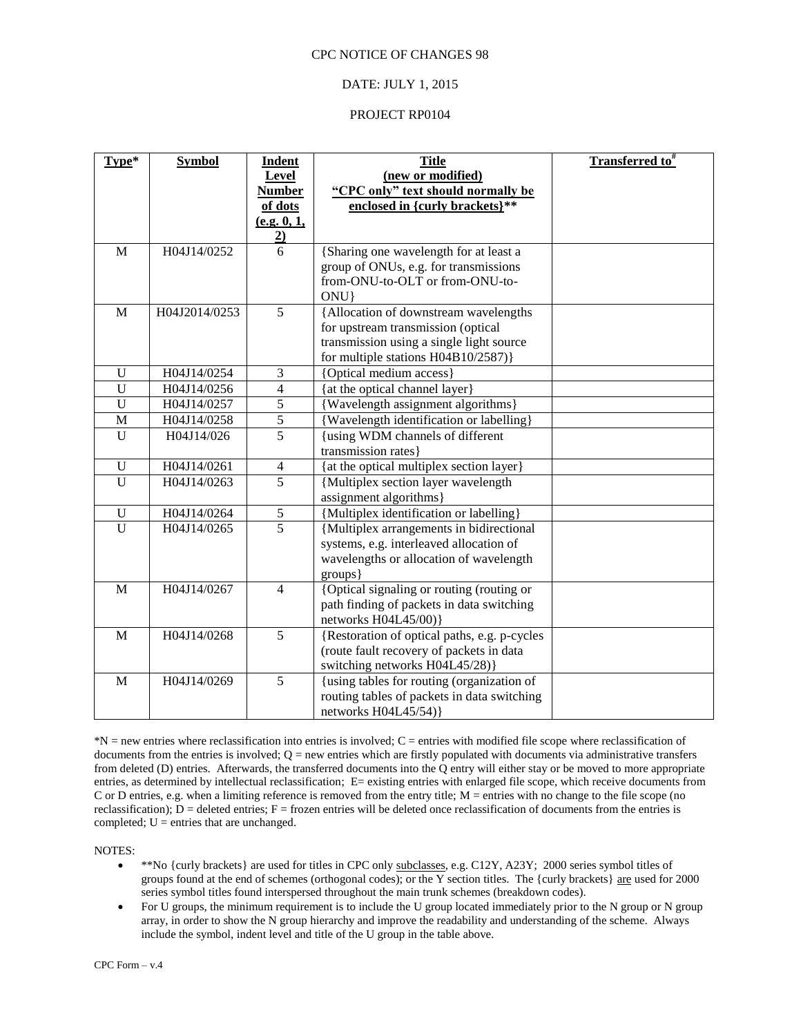#### DATE: JULY 1, 2015

#### PROJECT RP0104

| Type*          | <b>Symbol</b> | <b>Indent</b>       | <b>Title</b>                                                                    | <b>Transferred to</b> # |
|----------------|---------------|---------------------|---------------------------------------------------------------------------------|-------------------------|
|                |               | Level               | (new or modified)                                                               |                         |
|                |               | <b>Number</b>       | "CPC only" text should normally be                                              |                         |
|                |               | of dots             | enclosed in {curly brackets}**                                                  |                         |
|                |               | (e.g. 0, 1,         |                                                                                 |                         |
| $\overline{M}$ | H04J14/0252   | $\overline{2}$<br>6 |                                                                                 |                         |
|                |               |                     | {Sharing one wavelength for at least a<br>group of ONUs, e.g. for transmissions |                         |
|                |               |                     | from-ONU-to-OLT or from-ONU-to-                                                 |                         |
|                |               |                     | ONU}                                                                            |                         |
| $\mathbf{M}$   | H04J2014/0253 | 5                   | {Allocation of downstream wavelengths                                           |                         |
|                |               |                     | for upstream transmission (optical                                              |                         |
|                |               |                     | transmission using a single light source                                        |                         |
|                |               |                     | for multiple stations H04B10/2587)}                                             |                         |
| U              | H04J14/0254   | 3                   | {Optical medium access}                                                         |                         |
| U              | H04J14/0256   | $\overline{4}$      | {at the optical channel layer}                                                  |                         |
| U              | H04J14/0257   | 5                   | {Wavelength assignment algorithms}                                              |                         |
| M              | H04J14/0258   | 5                   | {Wavelength identification or labelling}                                        |                         |
| $\mathbf{U}$   | H04J14/026    | $\overline{5}$      | {using WDM channels of different                                                |                         |
|                |               |                     | transmission rates}                                                             |                         |
| $\mathbf{U}$   | H04J14/0261   | 4                   | {at the optical multiplex section layer}                                        |                         |
| U              | H04J14/0263   | $\overline{5}$      | {Multiplex section layer wavelength                                             |                         |
|                |               |                     | assignment algorithms}                                                          |                         |
| U              | H04J14/0264   | 5                   | {Multiplex identification or labelling}                                         |                         |
| U              | H04J14/0265   | $\overline{5}$      | {Multiplex arrangements in bidirectional                                        |                         |
|                |               |                     | systems, e.g. interleaved allocation of                                         |                         |
|                |               |                     | wavelengths or allocation of wavelength                                         |                         |
|                |               |                     | groups}                                                                         |                         |
| M              | H04J14/0267   | $\overline{4}$      | {Optical signaling or routing (routing or                                       |                         |
|                |               |                     | path finding of packets in data switching                                       |                         |
|                |               |                     | networks H04L45/00)}                                                            |                         |
| M              | H04J14/0268   | $\overline{5}$      | {Restoration of optical paths, e.g. p-cycles                                    |                         |
|                |               |                     | (route fault recovery of packets in data                                        |                         |
|                |               |                     | switching networks H04L45/28)}                                                  |                         |
| M              | H04J14/0269   | $\overline{5}$      | {using tables for routing (organization of                                      |                         |
|                |               |                     | routing tables of packets in data switching                                     |                         |
|                |               |                     | networks H04L45/54) }                                                           |                         |

\*N = new entries where reclassification into entries is involved; C = entries with modified file scope where reclassification of documents from the entries is involved;  $Q =$  new entries which are firstly populated with documents via administrative transfers from deleted (D) entries. Afterwards, the transferred documents into the Q entry will either stay or be moved to more appropriate entries, as determined by intellectual reclassification; E= existing entries with enlarged file scope, which receive documents from C or D entries, e.g. when a limiting reference is removed from the entry title; M = entries with no change to the file scope (no reclassification);  $\overline{D}$  = deleted entries; F = frozen entries will be deleted once reclassification of documents from the entries is completed;  $U =$  entries that are unchanged.

NOTES:

- \*\*No {curly brackets} are used for titles in CPC only subclasses, e.g. C12Y, A23Y; 2000 series symbol titles of groups found at the end of schemes (orthogonal codes); or the Y section titles. The {curly brackets}  $\frac{1}{\text{are}}$  used for 2000 series symbol titles found interspersed throughout the main trunk schemes (breakdown codes).
- For U groups, the minimum requirement is to include the U group located immediately prior to the N group or N group array, in order to show the N group hierarchy and improve the readability and understanding of the scheme. Always include the symbol, indent level and title of the U group in the table above.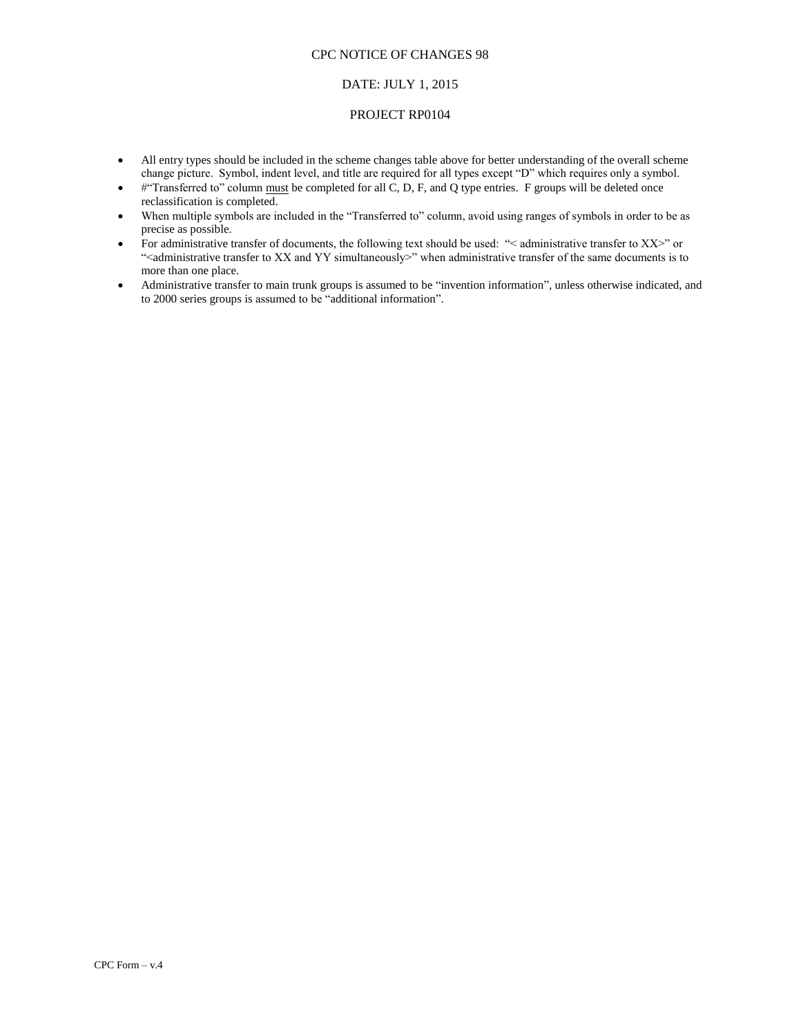#### DATE: JULY 1, 2015

#### PROJECT RP0104

- All entry types should be included in the scheme changes table above for better understanding of the overall scheme change picture. Symbol, indent level, and title are required for all types except "D" which requires only a symbol.
- $\bullet$  #"Transferred to" column must be completed for all C, D, F, and Q type entries. F groups will be deleted once reclassification is completed.
- When multiple symbols are included in the "Transferred to" column, avoid using ranges of symbols in order to be as precise as possible.
- For administrative transfer of documents, the following text should be used: "< administrative transfer to XX>" or "<administrative transfer to XX and YY simultaneously>" when administrative transfer of the same documents is to more than one place.
- Administrative transfer to main trunk groups is assumed to be "invention information", unless otherwise indicated, and to 2000 series groups is assumed to be "additional information".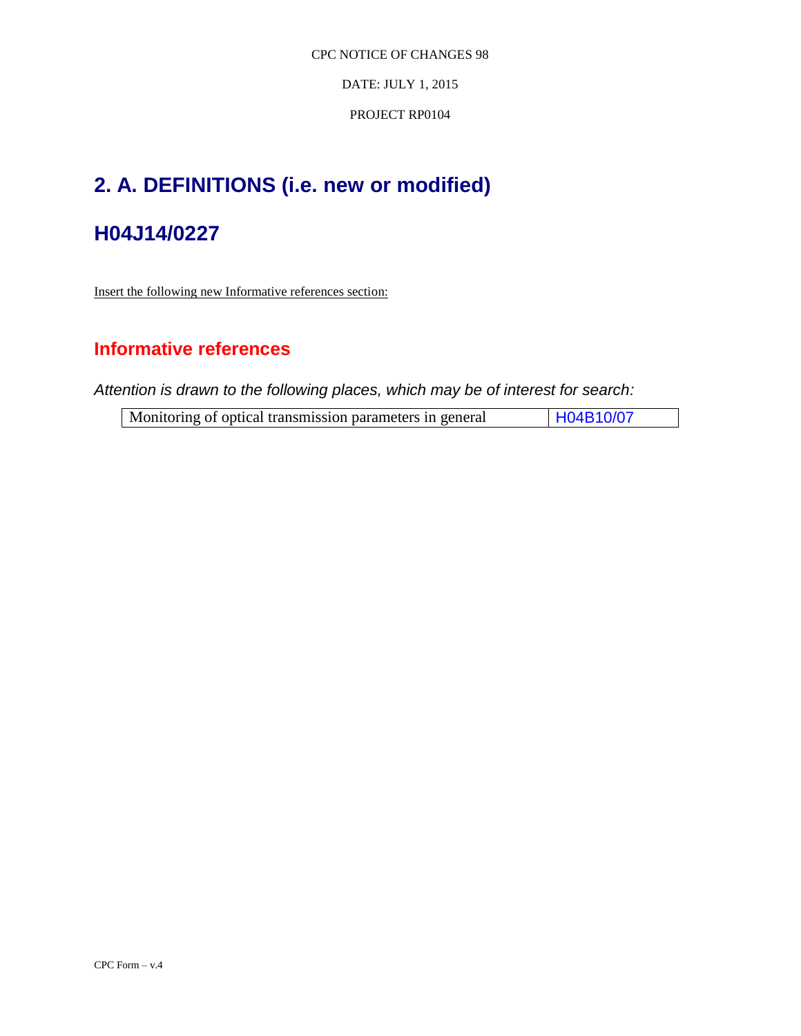DATE: JULY 1, 2015

PROJECT RP0104

# **2. A. DEFINITIONS (i.e. new or modified)**

## **H04J14/0227**

Insert the following new Informative references section:

## **Informative references**

*Attention is drawn to the following places, which may be of interest for search:*

|  | Monitoring of optical transmission parameters in general |  | H04B10/07 |
|--|----------------------------------------------------------|--|-----------|
|--|----------------------------------------------------------|--|-----------|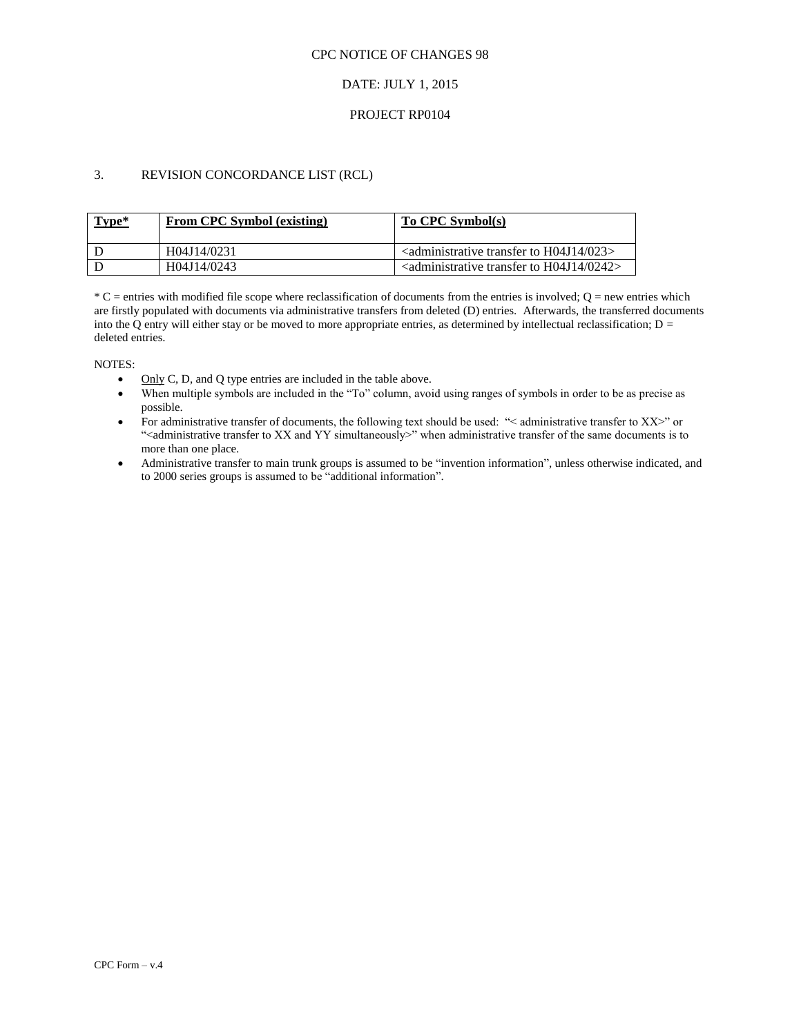### DATE: JULY 1, 2015

#### PROJECT RP0104

## 3. REVISION CONCORDANCE LIST (RCL)

| Type* | <b>From CPC Symbol (existing)</b> | To CPC Symbol(s)                                                               |
|-------|-----------------------------------|--------------------------------------------------------------------------------|
|       | H04J14/0231                       | $\alpha$ <administrative 023="" h04j14="" to="" transfer=""></administrative>  |
|       | H04J14/0243                       | $\alpha$ <administrative 0242="" h04j14="" to="" transfer=""></administrative> |

 $*C$  = entries with modified file scope where reclassification of documents from the entries is involved; Q = new entries which are firstly populated with documents via administrative transfers from deleted (D) entries. Afterwards, the transferred documents into the Q entry will either stay or be moved to more appropriate entries, as determined by intellectual reclassification;  $D =$ deleted entries.

NOTES:

- $\bullet$  Only C, D, and Q type entries are included in the table above.
- When multiple symbols are included in the "To" column, avoid using ranges of symbols in order to be as precise as possible.
- For administrative transfer of documents, the following text should be used: "< administrative transfer to XX>" or "<administrative transfer to XX and YY simultaneously>" when administrative transfer of the same documents is to more than one place.
- Administrative transfer to main trunk groups is assumed to be "invention information", unless otherwise indicated, and to 2000 series groups is assumed to be "additional information".